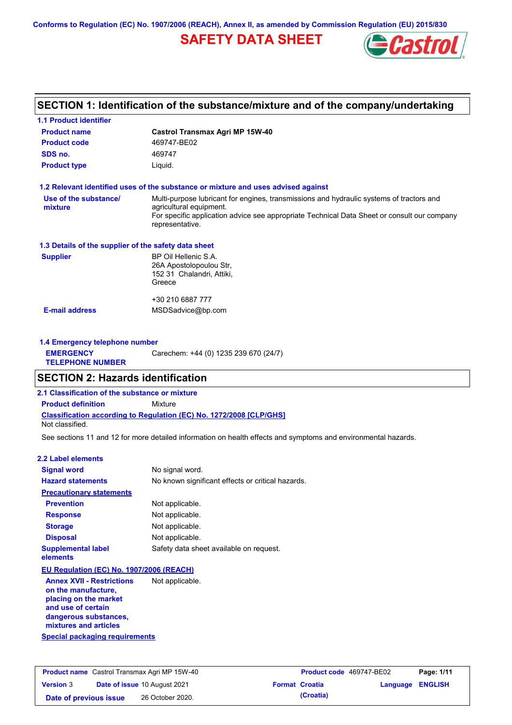**Conforms to Regulation (EC) No. 1907/2006 (REACH), Annex II, as amended by Commission Regulation (EU) 2015/830**

# **SAFETY DATA SHEET**



# **SECTION 1: Identification of the substance/mixture and of the company/undertaking**

| <b>1.1 Product identifier</b>                        |                                                                                                                     |
|------------------------------------------------------|---------------------------------------------------------------------------------------------------------------------|
| <b>Product name</b>                                  | <b>Castrol Transmax Agri MP 15W-40</b>                                                                              |
| <b>Product code</b>                                  | 469747-BE02                                                                                                         |
| SDS no.                                              | 469747                                                                                                              |
| <b>Product type</b>                                  | Liquid.                                                                                                             |
|                                                      | 1.2 Relevant identified uses of the substance or mixture and uses advised against                                   |
| Use of the substance/<br>mixture                     | Multi-purpose lubricant for engines, transmissions and hydraulic systems of tractors and<br>agricultural equipment. |
|                                                      | For specific application advice see appropriate Technical Data Sheet or consult our company<br>representative.      |
| 1.3 Details of the supplier of the safety data sheet |                                                                                                                     |
| <b>Supplier</b>                                      | BP Oil Hellenic S.A.<br>26A Apostolopoulou Str,<br>152 31 Chalandri, Attiki,<br>Greece                              |
|                                                      | +30 210 6887 777                                                                                                    |
| <b>E-mail address</b>                                | MSDSadvice@bp.com                                                                                                   |
| 1.4 Emergency telephone number                       |                                                                                                                     |
| <b>EMERGENCY</b><br><b>TELEPHONE NUMBER</b>          | Carechem: +44 (0) 1235 239 670 (24/7)                                                                               |

## **SECTION 2: Hazards identification**

**2.1 Classification of the substance or mixture**

**Classification according to Regulation (EC) No. 1272/2008 [CLP/GHS] Product definition** Mixture

Not classified.

See sections 11 and 12 for more detailed information on health effects and symptoms and environmental hazards.

### **2.2 Label elements**

| <b>Signal word</b>                                      | No signal word.                                   |
|---------------------------------------------------------|---------------------------------------------------|
| <b>Hazard statements</b>                                | No known significant effects or critical hazards. |
| <b>Precautionary statements</b>                         |                                                   |
| <b>Prevention</b>                                       | Not applicable.                                   |
| <b>Response</b>                                         | Not applicable.                                   |
| <b>Storage</b>                                          | Not applicable.                                   |
| <b>Disposal</b>                                         | Not applicable.                                   |
| <b>Supplemental label</b><br>elements                   | Safety data sheet available on request.           |
| EU Regulation (EC) No. 1907/2006 (REACH)                |                                                   |
| <b>Annex XVII - Restrictions</b><br>on the manufacture, | Not applicable.                                   |

**Special packaging requirements placing on the market and use of certain dangerous substances, mixtures and articles**

| <b>Product name</b> Castrol Transmax Agri MP 15W-40 |  | <b>Product code</b> 469747-BE02     |  | Page: 1/11            |                         |  |
|-----------------------------------------------------|--|-------------------------------------|--|-----------------------|-------------------------|--|
| <b>Version 3</b>                                    |  | <b>Date of issue 10 August 2021</b> |  | <b>Format Croatia</b> | <b>Language ENGLISH</b> |  |
| Date of previous issue                              |  | 26 October 2020.                    |  | (Croatia)             |                         |  |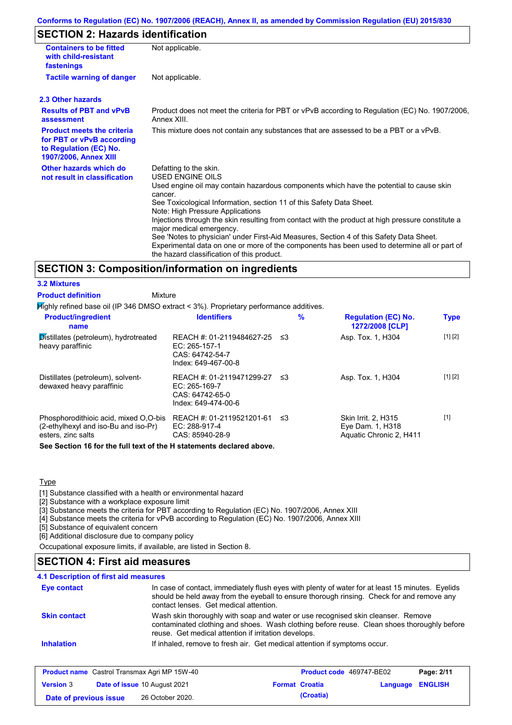### **Conforms to Regulation (EC) No. 1907/2006 (REACH), Annex II, as amended by Commission Regulation (EU) 2015/830**

# **SECTION 2: Hazards identification**

| <b>Containers to be fitted</b><br>with child-resistant<br>fastenings                                              | Not applicable.                                                                                                                                                                                                                                                                                                                                                                                                                                                                                                                                                                                                                        |
|-------------------------------------------------------------------------------------------------------------------|----------------------------------------------------------------------------------------------------------------------------------------------------------------------------------------------------------------------------------------------------------------------------------------------------------------------------------------------------------------------------------------------------------------------------------------------------------------------------------------------------------------------------------------------------------------------------------------------------------------------------------------|
| <b>Tactile warning of danger</b>                                                                                  | Not applicable.                                                                                                                                                                                                                                                                                                                                                                                                                                                                                                                                                                                                                        |
| 2.3 Other hazards                                                                                                 |                                                                                                                                                                                                                                                                                                                                                                                                                                                                                                                                                                                                                                        |
| <b>Results of PBT and vPvB</b><br>assessment                                                                      | Product does not meet the criteria for PBT or vPvB according to Regulation (EC) No. 1907/2006,<br>Annex XIII.                                                                                                                                                                                                                                                                                                                                                                                                                                                                                                                          |
| <b>Product meets the criteria</b><br>for PBT or vPvB according<br>to Regulation (EC) No.<br>1907/2006, Annex XIII | This mixture does not contain any substances that are assessed to be a PBT or a vPvB.                                                                                                                                                                                                                                                                                                                                                                                                                                                                                                                                                  |
| Other hazards which do<br>not result in classification                                                            | Defatting to the skin.<br>USED ENGINE OILS<br>Used engine oil may contain hazardous components which have the potential to cause skin<br>cancer.<br>See Toxicological Information, section 11 of this Safety Data Sheet.<br>Note: High Pressure Applications<br>Injections through the skin resulting from contact with the product at high pressure constitute a<br>major medical emergency.<br>See 'Notes to physician' under First-Aid Measures, Section 4 of this Safety Data Sheet.<br>Experimental data on one or more of the components has been used to determine all or part of<br>the hazard classification of this product. |

### **SECTION 3: Composition/information on ingredients**

### **3.2 Mixtures**

**Product definition**

Mixture

Highly refined base oil (IP 346 DMSO extract < 3%). Proprietary performance additives.

| <b>Product/ingredient</b><br>name                                                                   | <b>Identifiers</b>                                                                     | $\%$ | <b>Regulation (EC) No.</b><br>1272/2008 [CLP]                      | <b>Type</b> |
|-----------------------------------------------------------------------------------------------------|----------------------------------------------------------------------------------------|------|--------------------------------------------------------------------|-------------|
| Distillates (petroleum), hydrotreated<br>heavy paraffinic                                           | REACH #: 01-2119484627-25<br>$EC: 265-157-1$<br>CAS: 64742-54-7<br>Index: 649-467-00-8 | -≤3  | Asp. Tox. 1, H304                                                  | [1] [2]     |
| Distillates (petroleum), solvent-<br>dewaxed heavy paraffinic                                       | REACH #: 01-2119471299-27<br>$EC: 265-169-7$<br>CAS: 64742-65-0<br>Index: 649-474-00-6 | -≤3  | Asp. Tox. 1, H304                                                  | [1] [2]     |
| Phosphorodithioic acid, mixed O.O-bis<br>(2-ethylhexyl and iso-Bu and iso-Pr)<br>esters, zinc salts | REACH #: 01-2119521201-61 ≤3<br>EC: 288-917-4<br>CAS: 85940-28-9                       |      | Skin Irrit. 2. H315<br>Eye Dam. 1, H318<br>Aquatic Chronic 2, H411 | $[1]$       |

**See Section 16 for the full text of the H statements declared above.**

### **Type**

[1] Substance classified with a health or environmental hazard

[2] Substance with a workplace exposure limit

[3] Substance meets the criteria for PBT according to Regulation (EC) No. 1907/2006, Annex XIII

[4] Substance meets the criteria for vPvB according to Regulation (EC) No. 1907/2006, Annex XIII

[5] Substance of equivalent concern

[6] Additional disclosure due to company policy

Occupational exposure limits, if available, are listed in Section 8.

### **SECTION 4: First aid measures**

| <b>Eye contact</b>  | In case of contact, immediately flush eyes with plenty of water for at least 15 minutes. Eyelids<br>should be held away from the eyeball to ensure thorough rinsing. Check for and remove any<br>contact lenses. Get medical attention. |
|---------------------|-----------------------------------------------------------------------------------------------------------------------------------------------------------------------------------------------------------------------------------------|
| <b>Skin contact</b> | Wash skin thoroughly with soap and water or use recognised skin cleanser. Remove<br>contaminated clothing and shoes. Wash clothing before reuse. Clean shoes thoroughly before<br>reuse. Get medical attention if irritation develops.  |
| <b>Inhalation</b>   | If inhaled, remove to fresh air. Get medical attention if symptoms occur.                                                                                                                                                               |

| <b>Product name</b> Castrol Transmax Agri MP 15W-40 |  | <b>Product code</b> 469747-BE02     |  | Page: 2/11            |                  |  |
|-----------------------------------------------------|--|-------------------------------------|--|-----------------------|------------------|--|
| <b>Version 3</b>                                    |  | <b>Date of issue 10 August 2021</b> |  | <b>Format Croatia</b> | Language ENGLISH |  |
| Date of previous issue                              |  | 26 October 2020.                    |  | (Croatia)             |                  |  |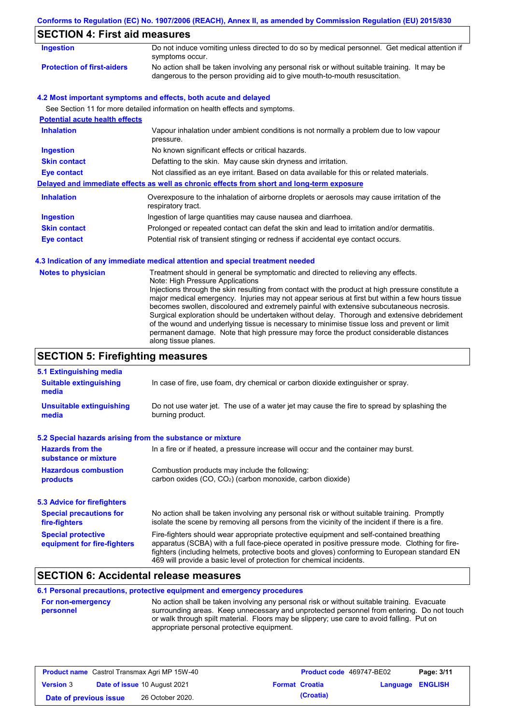# **Conforms to Regulation (EC) No. 1907/2006 (REACH), Annex II, as amended by Commission Regulation (EU) 2015/830**

# **SECTION 4: First aid measures**

| Ingestion                         | Do not induce vomiting unless directed to do so by medical personnel. Get medical attention if<br>symptoms occur.                                                           |
|-----------------------------------|-----------------------------------------------------------------------------------------------------------------------------------------------------------------------------|
| <b>Protection of first-aiders</b> | No action shall be taken involving any personal risk or without suitable training. It may be<br>dangerous to the person providing aid to give mouth-to-mouth resuscitation. |

### **4.2 Most important symptoms and effects, both acute and delayed**

See Section 11 for more detailed information on health effects and symptoms.

| <b>Potential acute health effects</b> |                                                                                                                   |
|---------------------------------------|-------------------------------------------------------------------------------------------------------------------|
| <b>Inhalation</b>                     | Vapour inhalation under ambient conditions is not normally a problem due to low vapour<br>pressure.               |
| <b>Ingestion</b>                      | No known significant effects or critical hazards.                                                                 |
| <b>Skin contact</b>                   | Defatting to the skin. May cause skin dryness and irritation.                                                     |
| Eye contact                           | Not classified as an eye irritant. Based on data available for this or related materials.                         |
|                                       | Delayed and immediate effects as well as chronic effects from short and long-term exposure                        |
| <b>Inhalation</b>                     | Overexposure to the inhalation of airborne droplets or aerosols may cause irritation of the<br>respiratory tract. |
| <b>Ingestion</b>                      | Ingestion of large quantities may cause nausea and diarrhoea.                                                     |
| <b>Skin contact</b>                   | Prolonged or repeated contact can defat the skin and lead to irritation and/or dermatitis.                        |
| Eye contact                           | Potential risk of transient stinging or redness if accidental eye contact occurs.                                 |

### **4.3 Indication of any immediate medical attention and special treatment needed**

| <b>Notes to physician</b> | Treatment should in general be symptomatic and directed to relieving any effects.<br>Note: High Pressure Applications<br>Injections through the skin resulting from contact with the product at high pressure constitute a<br>major medical emergency. Injuries may not appear serious at first but within a few hours tissue<br>becomes swollen, discoloured and extremely painful with extensive subcutaneous necrosis.<br>Surgical exploration should be undertaken without delay. Thorough and extensive debridement<br>of the wound and underlying tissue is necessary to minimise tissue loss and prevent or limit<br>permanent damage. Note that high pressure may force the product considerable distances<br>along tissue planes. |
|---------------------------|--------------------------------------------------------------------------------------------------------------------------------------------------------------------------------------------------------------------------------------------------------------------------------------------------------------------------------------------------------------------------------------------------------------------------------------------------------------------------------------------------------------------------------------------------------------------------------------------------------------------------------------------------------------------------------------------------------------------------------------------|
|---------------------------|--------------------------------------------------------------------------------------------------------------------------------------------------------------------------------------------------------------------------------------------------------------------------------------------------------------------------------------------------------------------------------------------------------------------------------------------------------------------------------------------------------------------------------------------------------------------------------------------------------------------------------------------------------------------------------------------------------------------------------------------|

# **SECTION 5: Firefighting measures**

| 5.1 Extinguishing media                                                                                                                                             |                                                                                                                                                                                                                                                                                                                                                                   |  |
|---------------------------------------------------------------------------------------------------------------------------------------------------------------------|-------------------------------------------------------------------------------------------------------------------------------------------------------------------------------------------------------------------------------------------------------------------------------------------------------------------------------------------------------------------|--|
| <b>Suitable extinguishing</b><br>media                                                                                                                              | In case of fire, use foam, dry chemical or carbon dioxide extinguisher or spray.                                                                                                                                                                                                                                                                                  |  |
| <b>Unsuitable extinguishing</b><br>media                                                                                                                            | Do not use water jet. The use of a water jet may cause the fire to spread by splashing the<br>burning product.                                                                                                                                                                                                                                                    |  |
| 5.2 Special hazards arising from the substance or mixture                                                                                                           |                                                                                                                                                                                                                                                                                                                                                                   |  |
| <b>Hazards from the</b><br>substance or mixture                                                                                                                     | In a fire or if heated, a pressure increase will occur and the container may burst.                                                                                                                                                                                                                                                                               |  |
| <b>Hazardous combustion</b><br>Combustion products may include the following:<br>carbon oxides (CO, CO <sub>2</sub> ) (carbon monoxide, carbon dioxide)<br>products |                                                                                                                                                                                                                                                                                                                                                                   |  |
| 5.3 Advice for firefighters                                                                                                                                         |                                                                                                                                                                                                                                                                                                                                                                   |  |
| <b>Special precautions for</b><br>fire-fighters                                                                                                                     | No action shall be taken involving any personal risk or without suitable training. Promptly<br>isolate the scene by removing all persons from the vicinity of the incident if there is a fire.                                                                                                                                                                    |  |
| <b>Special protective</b><br>equipment for fire-fighters                                                                                                            | Fire-fighters should wear appropriate protective equipment and self-contained breathing<br>apparatus (SCBA) with a full face-piece operated in positive pressure mode. Clothing for fire-<br>fighters (including helmets, protective boots and gloves) conforming to European standard EN<br>469 will provide a basic level of protection for chemical incidents. |  |

# **SECTION 6: Accidental release measures**

**6.1 Personal precautions, protective equipment and emergency procedures**

| <b>For non-emergency</b> | No action shall be taken involving any personal risk or without suitable training. Evacuate |
|--------------------------|---------------------------------------------------------------------------------------------|
| personnel                | surrounding areas. Keep unnecessary and unprotected personnel from entering. Do not touch   |
|                          | or walk through spilt material. Floors may be slippery; use care to avoid falling. Put on   |
|                          | appropriate personal protective equipment.                                                  |

| <b>Product name</b> Castrol Transmax Agri MP 15W-40 |  |                                     | <b>Product code</b> 469747-BE02 |                       | Page: 3/11              |  |
|-----------------------------------------------------|--|-------------------------------------|---------------------------------|-----------------------|-------------------------|--|
| <b>Version 3</b>                                    |  | <b>Date of issue 10 August 2021</b> |                                 | <b>Format Croatia</b> | <b>Language ENGLISH</b> |  |
| Date of previous issue                              |  | 26 October 2020.                    |                                 | (Croatia)             |                         |  |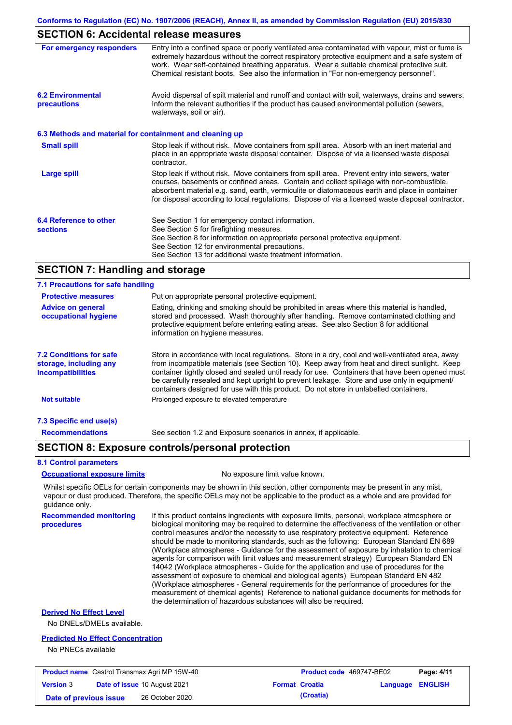## **SECTION 6: Accidental release measures**

| For emergency responders                                 | Entry into a confined space or poorly ventilated area contaminated with vapour, mist or fume is<br>extremely hazardous without the correct respiratory protective equipment and a safe system of<br>work. Wear self-contained breathing apparatus. Wear a suitable chemical protective suit.<br>Chemical resistant boots. See also the information in "For non-emergency personnel".           |
|----------------------------------------------------------|------------------------------------------------------------------------------------------------------------------------------------------------------------------------------------------------------------------------------------------------------------------------------------------------------------------------------------------------------------------------------------------------|
| <b>6.2 Environmental</b><br>precautions                  | Avoid dispersal of spilt material and runoff and contact with soil, waterways, drains and sewers.<br>Inform the relevant authorities if the product has caused environmental pollution (sewers,<br>waterways, soil or air).                                                                                                                                                                    |
| 6.3 Methods and material for containment and cleaning up |                                                                                                                                                                                                                                                                                                                                                                                                |
| <b>Small spill</b>                                       | Stop leak if without risk. Move containers from spill area. Absorb with an inert material and<br>place in an appropriate waste disposal container. Dispose of via a licensed waste disposal<br>contractor.                                                                                                                                                                                     |
| <b>Large spill</b>                                       | Stop leak if without risk. Move containers from spill area. Prevent entry into sewers, water<br>courses, basements or confined areas. Contain and collect spillage with non-combustible,<br>absorbent material e.g. sand, earth, vermiculite or diatomaceous earth and place in container<br>for disposal according to local regulations. Dispose of via a licensed waste disposal contractor. |
| 6.4 Reference to other<br><b>sections</b>                | See Section 1 for emergency contact information.<br>See Section 5 for firefighting measures.<br>See Section 8 for information on appropriate personal protective equipment.<br>See Section 12 for environmental precautions.<br>See Section 13 for additional waste treatment information.                                                                                                     |

## **SECTION 7: Handling and storage**

#### Store in accordance with local regulations. Store in a dry, cool and well-ventilated area, away from incompatible materials (see Section 10). Keep away from heat and direct sunlight. Keep container tightly closed and sealed until ready for use. Containers that have been opened must be carefully resealed and kept upright to prevent leakage. Store and use only in equipment/ containers designed for use with this product. Do not store in unlabelled containers. **7.1 Precautions for safe handling Protective measures Advice on general occupational hygiene 7.2 Conditions for safe storage, including any incompatibilities 7.3 Specific end use(s) Recommendations** Put on appropriate personal protective equipment. Eating, drinking and smoking should be prohibited in areas where this material is handled, stored and processed. Wash thoroughly after handling. Remove contaminated clothing and protective equipment before entering eating areas. See also Section 8 for additional information on hygiene measures. **Not suitable Not suitable** Prolonged exposure to elevated temperature See section 1.2 and Exposure scenarios in annex, if applicable.

### **SECTION 8: Exposure controls/personal protection**

#### **8.1 Control parameters**

**procedures**

**Occupational exposure limits** No exposure limit value known.

Whilst specific OELs for certain components may be shown in this section, other components may be present in any mist, vapour or dust produced. Therefore, the specific OELs may not be applicable to the product as a whole and are provided for guidance only.

**Recommended monitoring**  If this product contains ingredients with exposure limits, personal, workplace atmosphere or biological monitoring may be required to determine the effectiveness of the ventilation or other control measures and/or the necessity to use respiratory protective equipment. Reference should be made to monitoring standards, such as the following: European Standard EN 689 (Workplace atmospheres - Guidance for the assessment of exposure by inhalation to chemical agents for comparison with limit values and measurement strategy) European Standard EN 14042 (Workplace atmospheres - Guide for the application and use of procedures for the assessment of exposure to chemical and biological agents) European Standard EN 482 (Workplace atmospheres - General requirements for the performance of procedures for the measurement of chemical agents) Reference to national guidance documents for methods for the determination of hazardous substances will also be required.

### **Derived No Effect Level**

No DNELs/DMELs available.

#### **Predicted No Effect Concentration**

No PNECs available

| <b>Product name</b> Castrol Transmax Agri MP 15W-40 |  | <b>Product code</b> 469747-BE02     |  | Page: 4/11            |                         |  |
|-----------------------------------------------------|--|-------------------------------------|--|-----------------------|-------------------------|--|
| <b>Version 3</b>                                    |  | <b>Date of issue 10 August 2021</b> |  | <b>Format Croatia</b> | <b>Language ENGLISH</b> |  |
| Date of previous issue                              |  | 26 October 2020.                    |  | (Croatia)             |                         |  |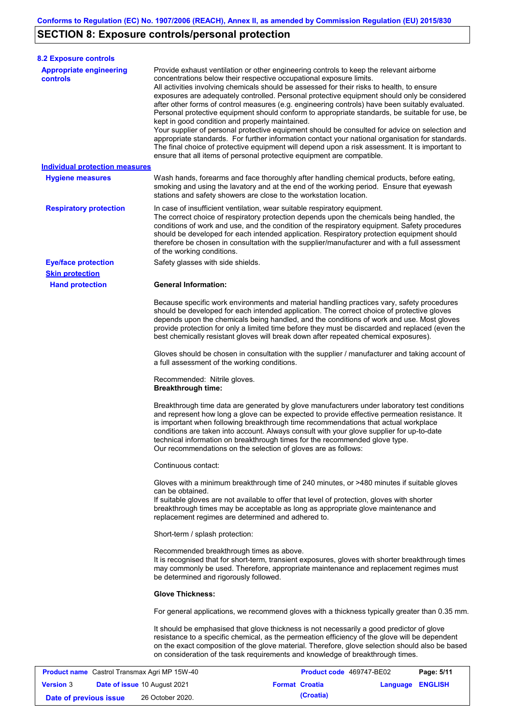# **SECTION 8: Exposure controls/personal protection**

**Version** 3

| <b>8.2 Exposure controls</b>                 |                                                                                                                                                                                                  |                                                                                                                                                                                                                                                                                                                                                                                                                                                                                                                                                                                                                                                                                                                                                                                                     |            |  |
|----------------------------------------------|--------------------------------------------------------------------------------------------------------------------------------------------------------------------------------------------------|-----------------------------------------------------------------------------------------------------------------------------------------------------------------------------------------------------------------------------------------------------------------------------------------------------------------------------------------------------------------------------------------------------------------------------------------------------------------------------------------------------------------------------------------------------------------------------------------------------------------------------------------------------------------------------------------------------------------------------------------------------------------------------------------------------|------------|--|
| <b>Appropriate engineering</b><br>controls   | concentrations below their respective occupational exposure limits.<br>kept in good condition and properly maintained.<br>ensure that all items of personal protective equipment are compatible. | Provide exhaust ventilation or other engineering controls to keep the relevant airborne<br>All activities involving chemicals should be assessed for their risks to health, to ensure<br>exposures are adequately controlled. Personal protective equipment should only be considered<br>after other forms of control measures (e.g. engineering controls) have been suitably evaluated.<br>Personal protective equipment should conform to appropriate standards, be suitable for use, be<br>Your supplier of personal protective equipment should be consulted for advice on selection and<br>appropriate standards. For further information contact your national organisation for standards.<br>The final choice of protective equipment will depend upon a risk assessment. It is important to |            |  |
| <b>Individual protection measures</b>        |                                                                                                                                                                                                  |                                                                                                                                                                                                                                                                                                                                                                                                                                                                                                                                                                                                                                                                                                                                                                                                     |            |  |
| <b>Hygiene measures</b>                      | stations and safety showers are close to the workstation location.                                                                                                                               | Wash hands, forearms and face thoroughly after handling chemical products, before eating,<br>smoking and using the lavatory and at the end of the working period. Ensure that eyewash                                                                                                                                                                                                                                                                                                                                                                                                                                                                                                                                                                                                               |            |  |
| <b>Respiratory protection</b>                | In case of insufficient ventilation, wear suitable respiratory equipment.<br>of the working conditions.                                                                                          | The correct choice of respiratory protection depends upon the chemicals being handled, the<br>conditions of work and use, and the condition of the respiratory equipment. Safety procedures<br>should be developed for each intended application. Respiratory protection equipment should<br>therefore be chosen in consultation with the supplier/manufacturer and with a full assessment                                                                                                                                                                                                                                                                                                                                                                                                          |            |  |
| <b>Eye/face protection</b>                   | Safety glasses with side shields.                                                                                                                                                                |                                                                                                                                                                                                                                                                                                                                                                                                                                                                                                                                                                                                                                                                                                                                                                                                     |            |  |
| <b>Skin protection</b>                       |                                                                                                                                                                                                  |                                                                                                                                                                                                                                                                                                                                                                                                                                                                                                                                                                                                                                                                                                                                                                                                     |            |  |
| <b>Hand protection</b>                       | <b>General Information:</b>                                                                                                                                                                      | Because specific work environments and material handling practices vary, safety procedures<br>should be developed for each intended application. The correct choice of protective gloves<br>depends upon the chemicals being handled, and the conditions of work and use. Most gloves<br>provide protection for only a limited time before they must be discarded and replaced (even the<br>best chemically resistant gloves will break down after repeated chemical exposures).                                                                                                                                                                                                                                                                                                                    |            |  |
|                                              | Gloves should be chosen in consultation with the supplier / manufacturer and taking account of<br>a full assessment of the working conditions.                                                   |                                                                                                                                                                                                                                                                                                                                                                                                                                                                                                                                                                                                                                                                                                                                                                                                     |            |  |
|                                              | Recommended: Nitrile gloves.<br><b>Breakthrough time:</b>                                                                                                                                        |                                                                                                                                                                                                                                                                                                                                                                                                                                                                                                                                                                                                                                                                                                                                                                                                     |            |  |
|                                              | Our recommendations on the selection of gloves are as follows:                                                                                                                                   | Breakthrough time data are generated by glove manufacturers under laboratory test conditions<br>and represent how long a glove can be expected to provide effective permeation resistance. It<br>is important when following breakthrough time recommendations that actual workplace<br>conditions are taken into account. Always consult with your glove supplier for up-to-date<br>technical information on breakthrough times for the recommended glove type.                                                                                                                                                                                                                                                                                                                                    |            |  |
|                                              | Continuous contact:                                                                                                                                                                              |                                                                                                                                                                                                                                                                                                                                                                                                                                                                                                                                                                                                                                                                                                                                                                                                     |            |  |
|                                              | can be obtained.<br>replacement regimes are determined and adhered to.                                                                                                                           | Gloves with a minimum breakthrough time of 240 minutes, or >480 minutes if suitable gloves<br>If suitable gloves are not available to offer that level of protection, gloves with shorter<br>breakthrough times may be acceptable as long as appropriate glove maintenance and                                                                                                                                                                                                                                                                                                                                                                                                                                                                                                                      |            |  |
|                                              | Short-term / splash protection:                                                                                                                                                                  |                                                                                                                                                                                                                                                                                                                                                                                                                                                                                                                                                                                                                                                                                                                                                                                                     |            |  |
|                                              | Recommended breakthrough times as above.<br>be determined and rigorously followed.                                                                                                               | It is recognised that for short-term, transient exposures, gloves with shorter breakthrough times<br>may commonly be used. Therefore, appropriate maintenance and replacement regimes must                                                                                                                                                                                                                                                                                                                                                                                                                                                                                                                                                                                                          |            |  |
|                                              | <b>Glove Thickness:</b>                                                                                                                                                                          |                                                                                                                                                                                                                                                                                                                                                                                                                                                                                                                                                                                                                                                                                                                                                                                                     |            |  |
|                                              |                                                                                                                                                                                                  | For general applications, we recommend gloves with a thickness typically greater than 0.35 mm.                                                                                                                                                                                                                                                                                                                                                                                                                                                                                                                                                                                                                                                                                                      |            |  |
|                                              |                                                                                                                                                                                                  | It should be emphasised that glove thickness is not necessarily a good predictor of glove<br>resistance to a specific chemical, as the permeation efficiency of the glove will be dependent<br>on the exact composition of the glove material. Therefore, glove selection should also be based<br>on consideration of the task requirements and knowledge of breakthrough times.                                                                                                                                                                                                                                                                                                                                                                                                                    |            |  |
| Product name Castrol Transmax Agri MP 15W-40 |                                                                                                                                                                                                  | Product code 469747-BE02                                                                                                                                                                                                                                                                                                                                                                                                                                                                                                                                                                                                                                                                                                                                                                            | Page: 5/11 |  |

**Date of issue** 10 August 2021 **Format Croatia Language ENGLISH**

**Date of previous issue (Croatia)** 26 October 2020.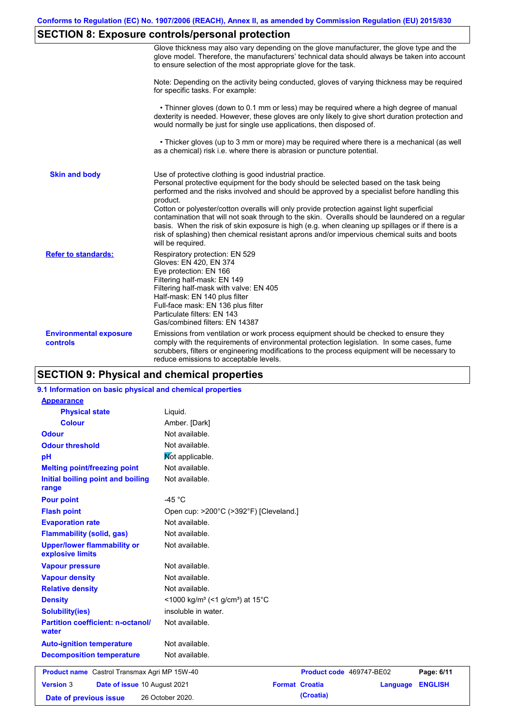# **SECTION 8: Exposure controls/personal protection**

|                                           | Glove thickness may also vary depending on the glove manufacturer, the glove type and the<br>glove model. Therefore, the manufacturers' technical data should always be taken into account<br>to ensure selection of the most appropriate glove for the task.                                                                                                                                                                                                                                                                                                                                                                                                                         |
|-------------------------------------------|---------------------------------------------------------------------------------------------------------------------------------------------------------------------------------------------------------------------------------------------------------------------------------------------------------------------------------------------------------------------------------------------------------------------------------------------------------------------------------------------------------------------------------------------------------------------------------------------------------------------------------------------------------------------------------------|
|                                           | Note: Depending on the activity being conducted, gloves of varying thickness may be required<br>for specific tasks. For example:                                                                                                                                                                                                                                                                                                                                                                                                                                                                                                                                                      |
|                                           | • Thinner gloves (down to 0.1 mm or less) may be required where a high degree of manual<br>dexterity is needed. However, these gloves are only likely to give short duration protection and<br>would normally be just for single use applications, then disposed of.                                                                                                                                                                                                                                                                                                                                                                                                                  |
|                                           | • Thicker gloves (up to 3 mm or more) may be required where there is a mechanical (as well<br>as a chemical) risk i.e. where there is abrasion or puncture potential.                                                                                                                                                                                                                                                                                                                                                                                                                                                                                                                 |
| <b>Skin and body</b>                      | Use of protective clothing is good industrial practice.<br>Personal protective equipment for the body should be selected based on the task being<br>performed and the risks involved and should be approved by a specialist before handling this<br>product.<br>Cotton or polyester/cotton overalls will only provide protection against light superficial<br>contamination that will not soak through to the skin. Overalls should be laundered on a regular<br>basis. When the risk of skin exposure is high (e.g. when cleaning up spillages or if there is a<br>risk of splashing) then chemical resistant aprons and/or impervious chemical suits and boots<br>will be required. |
| <b>Refer to standards:</b>                | Respiratory protection: EN 529<br>Gloves: EN 420, EN 374<br>Eye protection: EN 166<br>Filtering half-mask: EN 149<br>Filtering half-mask with valve: EN 405<br>Half-mask: EN 140 plus filter<br>Full-face mask: EN 136 plus filter<br>Particulate filters: EN 143<br>Gas/combined filters: EN 14387                                                                                                                                                                                                                                                                                                                                                                                   |
| <b>Environmental exposure</b><br>controls | Emissions from ventilation or work process equipment should be checked to ensure they<br>comply with the requirements of environmental protection legislation. In some cases, fume<br>scrubbers, filters or engineering modifications to the process equipment will be necessary to<br>reduce emissions to acceptable levels.                                                                                                                                                                                                                                                                                                                                                         |

# **SECTION 9: Physical and chemical properties**

### **9.1 Information on basic physical and chemical properties**

| <b>Appearance</b>                                      |                                                                      |                                   |                |
|--------------------------------------------------------|----------------------------------------------------------------------|-----------------------------------|----------------|
| <b>Physical state</b>                                  | Liquid.                                                              |                                   |                |
| <b>Colour</b>                                          | Amber. [Dark]                                                        |                                   |                |
| <b>Odour</b>                                           | Not available.                                                       |                                   |                |
| <b>Odour threshold</b>                                 | Not available.                                                       |                                   |                |
| pH                                                     | Mot applicable.                                                      |                                   |                |
| <b>Melting point/freezing point</b>                    | Not available.                                                       |                                   |                |
| Initial boiling point and boiling<br>range             | Not available.                                                       |                                   |                |
| <b>Pour point</b>                                      | $-45 °C$                                                             |                                   |                |
| <b>Flash point</b>                                     | Open cup: >200°C (>392°F) [Cleveland.]                               |                                   |                |
| <b>Evaporation rate</b>                                | Not available.                                                       |                                   |                |
| <b>Flammability (solid, gas)</b>                       | Not available.                                                       |                                   |                |
| <b>Upper/lower flammability or</b><br>explosive limits | Not available.                                                       |                                   |                |
| <b>Vapour pressure</b>                                 | Not available.                                                       |                                   |                |
| <b>Vapour density</b>                                  | Not available.                                                       |                                   |                |
| <b>Relative density</b>                                | Not available.                                                       |                                   |                |
| <b>Density</b>                                         | <1000 kg/m <sup>3</sup> (<1 g/cm <sup>3</sup> ) at 15 <sup>°</sup> C |                                   |                |
| <b>Solubility(ies)</b>                                 | insoluble in water.                                                  |                                   |                |
| <b>Partition coefficient: n-octanol/</b><br>water      | Not available.                                                       |                                   |                |
| <b>Auto-ignition temperature</b>                       | Not available.                                                       |                                   |                |
| <b>Decomposition temperature</b>                       | Not available.                                                       |                                   |                |
| <b>Product name</b> Castrol Transmax Agri MP 15W-40    |                                                                      | Product code 469747-BE02          | Page: 6/11     |
| <b>Version 3</b><br>Date of issue 10 August 2021       |                                                                      | <b>Format Croatia</b><br>Language | <b>ENGLISH</b> |
| Date of previous issue                                 | 26 October 2020.                                                     | (Croatia)                         |                |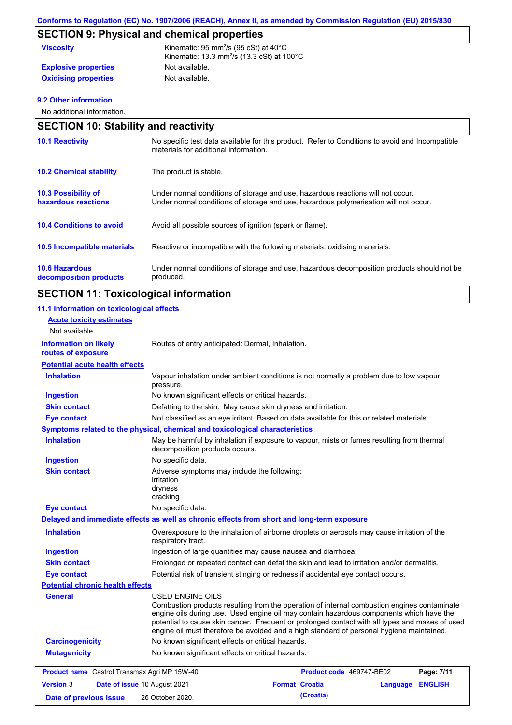# **SECTION 9: Physical and chemical properties**

| <b>Viscosity</b>            | Kinematic: 95 mm <sup>2</sup> /s (95 cSt) at $40^{\circ}$ C<br>Kinematic: 13.3 mm <sup>2</sup> /s (13.3 cSt) at $100^{\circ}$ C |
|-----------------------------|---------------------------------------------------------------------------------------------------------------------------------|
| <b>Explosive properties</b> | Not available.                                                                                                                  |
| <b>Oxidising properties</b> | Not available.                                                                                                                  |

### **9.2 Other information**

No additional information.

|                                                   | <b>SECTION 10: Stability and reactivity</b>                                                                                                                             |  |  |
|---------------------------------------------------|-------------------------------------------------------------------------------------------------------------------------------------------------------------------------|--|--|
| <b>10.1 Reactivity</b>                            | No specific test data available for this product. Refer to Conditions to avoid and Incompatible<br>materials for additional information.                                |  |  |
| <b>10.2 Chemical stability</b>                    | The product is stable.                                                                                                                                                  |  |  |
| <b>10.3 Possibility of</b><br>hazardous reactions | Under normal conditions of storage and use, hazardous reactions will not occur.<br>Under normal conditions of storage and use, hazardous polymerisation will not occur. |  |  |
| <b>10.4 Conditions to avoid</b>                   | Avoid all possible sources of ignition (spark or flame).                                                                                                                |  |  |
| 10.5 Incompatible materials                       | Reactive or incompatible with the following materials: oxidising materials.                                                                                             |  |  |
| <b>10.6 Hazardous</b><br>decomposition products   | Under normal conditions of storage and use, hazardous decomposition products should not be<br>produced.                                                                 |  |  |

# **SECTION 11: Toxicological information**

| 11.1 Information on toxicological effects                                   |                                                                                            |                                                                                                                                                                                                                                                                                                                                                                                      |
|-----------------------------------------------------------------------------|--------------------------------------------------------------------------------------------|--------------------------------------------------------------------------------------------------------------------------------------------------------------------------------------------------------------------------------------------------------------------------------------------------------------------------------------------------------------------------------------|
| <b>Acute toxicity estimates</b>                                             |                                                                                            |                                                                                                                                                                                                                                                                                                                                                                                      |
| Not available.                                                              |                                                                                            |                                                                                                                                                                                                                                                                                                                                                                                      |
| <b>Information on likely</b><br>routes of exposure                          | Routes of entry anticipated: Dermal, Inhalation.                                           |                                                                                                                                                                                                                                                                                                                                                                                      |
| <b>Potential acute health effects</b>                                       |                                                                                            |                                                                                                                                                                                                                                                                                                                                                                                      |
| <b>Inhalation</b>                                                           | pressure.                                                                                  | Vapour inhalation under ambient conditions is not normally a problem due to low vapour                                                                                                                                                                                                                                                                                               |
| <b>Ingestion</b>                                                            | No known significant effects or critical hazards.                                          |                                                                                                                                                                                                                                                                                                                                                                                      |
| <b>Skin contact</b>                                                         | Defatting to the skin. May cause skin dryness and irritation.                              |                                                                                                                                                                                                                                                                                                                                                                                      |
| <b>Eye contact</b>                                                          |                                                                                            | Not classified as an eye irritant. Based on data available for this or related materials.                                                                                                                                                                                                                                                                                            |
|                                                                             | <b>Symptoms related to the physical, chemical and toxicological characteristics</b>        |                                                                                                                                                                                                                                                                                                                                                                                      |
| <b>Inhalation</b>                                                           | decomposition products occurs.                                                             | May be harmful by inhalation if exposure to vapour, mists or fumes resulting from thermal                                                                                                                                                                                                                                                                                            |
| <b>Ingestion</b>                                                            | No specific data.                                                                          |                                                                                                                                                                                                                                                                                                                                                                                      |
| <b>Skin contact</b>                                                         | Adverse symptoms may include the following:<br>irritation<br>dryness<br>cracking           |                                                                                                                                                                                                                                                                                                                                                                                      |
| <b>Eye contact</b>                                                          | No specific data.                                                                          |                                                                                                                                                                                                                                                                                                                                                                                      |
|                                                                             | Delayed and immediate effects as well as chronic effects from short and long-term exposure |                                                                                                                                                                                                                                                                                                                                                                                      |
| <b>Inhalation</b>                                                           | respiratory tract.                                                                         | Overexposure to the inhalation of airborne droplets or aerosols may cause irritation of the                                                                                                                                                                                                                                                                                          |
| <b>Ingestion</b>                                                            | Ingestion of large quantities may cause nausea and diarrhoea.                              |                                                                                                                                                                                                                                                                                                                                                                                      |
| <b>Skin contact</b>                                                         |                                                                                            | Prolonged or repeated contact can defat the skin and lead to irritation and/or dermatitis.                                                                                                                                                                                                                                                                                           |
| <b>Eye contact</b>                                                          | Potential risk of transient stinging or redness if accidental eye contact occurs.          |                                                                                                                                                                                                                                                                                                                                                                                      |
| <b>Potential chronic health effects</b>                                     |                                                                                            |                                                                                                                                                                                                                                                                                                                                                                                      |
| <b>General</b>                                                              | <b>USED ENGINE OILS</b>                                                                    | Combustion products resulting from the operation of internal combustion engines contaminate<br>engine oils during use. Used engine oil may contain hazardous components which have the<br>potential to cause skin cancer. Frequent or prolonged contact with all types and makes of used<br>engine oil must therefore be avoided and a high standard of personal hygiene maintained. |
| <b>Carcinogenicity</b><br>No known significant effects or critical hazards. |                                                                                            |                                                                                                                                                                                                                                                                                                                                                                                      |
| <b>Mutagenicity</b>                                                         | No known significant effects or critical hazards.                                          |                                                                                                                                                                                                                                                                                                                                                                                      |
| <b>Product name</b> Castrol Transmax Agri MP 15W-40                         |                                                                                            | <b>Product code</b> 469747-BE02<br>Page: 7/11                                                                                                                                                                                                                                                                                                                                        |
| <b>Version 3</b><br>Date of issue 10 August 2021                            |                                                                                            | <b>Format Croatia</b><br><b>ENGLISH</b><br>Language                                                                                                                                                                                                                                                                                                                                  |
| Date of previous issue                                                      | 26 October 2020.                                                                           | (Croatia)                                                                                                                                                                                                                                                                                                                                                                            |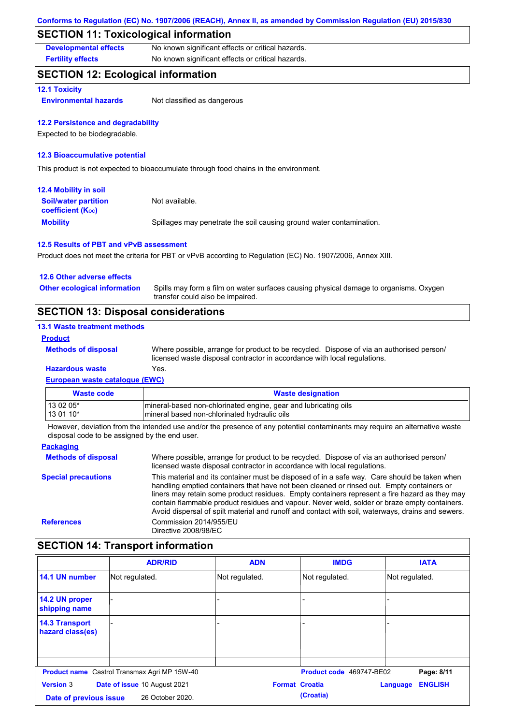## **SECTION 11: Toxicological information**

**Developmental effects** No known significant effects or critical hazards.

**Fertility effects** No known significant effects or critical hazards.

## **SECTION 12: Ecological information**

### **12.1 Toxicity**

**Environmental hazards** Not classified as dangerous

### **12.2 Persistence and degradability**

Expected to be biodegradable.

### **12.3 Bioaccumulative potential**

This product is not expected to bioaccumulate through food chains in the environment.

| <b>12.4 Mobility in soil</b>                                  |                                                                      |
|---------------------------------------------------------------|----------------------------------------------------------------------|
| <b>Soil/water partition</b><br>coefficient (K <sub>oc</sub> ) | Not available.                                                       |
| <b>Mobility</b>                                               | Spillages may penetrate the soil causing ground water contamination. |

#### **12.5 Results of PBT and vPvB assessment**

Product does not meet the criteria for PBT or vPvB according to Regulation (EC) No. 1907/2006, Annex XIII.

| 12.6 Other adverse effects                 |                                                                                                                           |
|--------------------------------------------|---------------------------------------------------------------------------------------------------------------------------|
| <b>Other ecological information</b>        | Spills may form a film on water surfaces causing physical damage to organisms. Oxygen<br>transfer could also be impaired. |
| <b>SECTION 13: Disposal considerations</b> |                                                                                                                           |

### **13.1 Waste treatment methods**

#### **Product**

**Methods of disposal**

Where possible, arrange for product to be recycled. Dispose of via an authorised person/ licensed waste disposal contractor in accordance with local regulations.

### **European waste catalogue (EWC) Hazardous waste** Yes.

| Waste code | <b>Waste designation</b>                                        |
|------------|-----------------------------------------------------------------|
| 13 02 05*  | mineral-based non-chlorinated engine, gear and lubricating oils |
| 13 01 10*  | mineral based non-chlorinated hydraulic oils                    |

However, deviation from the intended use and/or the presence of any potential contaminants may require an alternative waste disposal code to be assigned by the end user.

#### **Packaging Methods of disposal Special precautions** Where possible, arrange for product to be recycled. Dispose of via an authorised person/ licensed waste disposal contractor in accordance with local regulations. This material and its container must be disposed of in a safe way. Care should be taken when handling emptied containers that have not been cleaned or rinsed out. Empty containers or liners may retain some product residues. Empty containers represent a fire hazard as they may contain flammable product residues and vapour. Never weld, solder or braze empty containers. Avoid dispersal of spilt material and runoff and contact with soil, waterways, drains and sewers. **References** Commission 2014/955/EU Directive 2008/98/EC

## **SECTION 14: Transport information**

|                                            | <b>ADR/RID</b>                                      | <b>ADN</b>            | <b>IMDG</b>              | <b>IATA</b>                |
|--------------------------------------------|-----------------------------------------------------|-----------------------|--------------------------|----------------------------|
| 14.1 UN number                             | Not regulated.                                      | Not regulated.        | Not regulated.           | Not regulated.             |
| 14.2 UN proper<br>shipping name            |                                                     |                       |                          |                            |
| <b>14.3 Transport</b><br>hazard class(es)  |                                                     |                       |                          |                            |
|                                            | <b>Product name</b> Castrol Transmax Agri MP 15W-40 |                       | Product code 469747-BE02 | Page: 8/11                 |
| <b>Version 3</b><br>Date of previous issue | Date of issue 10 August 2021<br>26 October 2020.    | <b>Format Croatia</b> | (Croatia)                | <b>ENGLISH</b><br>Language |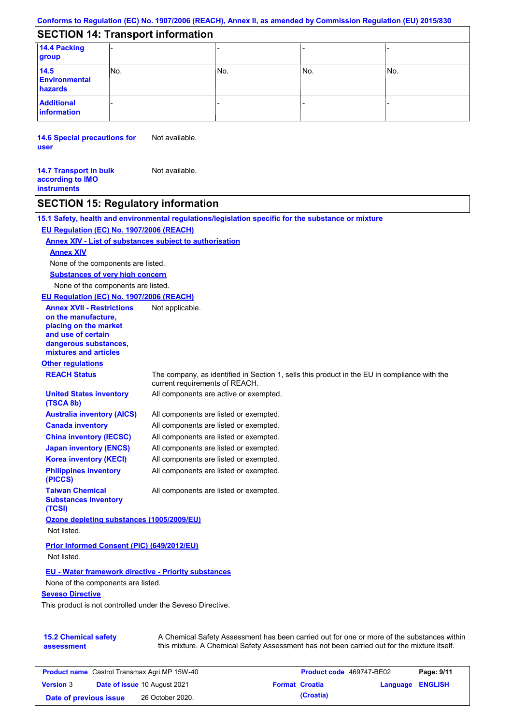# **SECTION 14: Transport information**

| 14.4 Packing<br>group                   |      |     |       |     |  |
|-----------------------------------------|------|-----|-------|-----|--|
| 14.5<br><b>Environmental</b><br>hazards | INo. | No. | l No. | No. |  |
| <b>Additional</b><br>information        |      |     |       |     |  |

**14.6 Special precautions for user** Not available.

**14.7 Transport in bulk according to IMO instruments** Not available.

# **SECTION 15: Regulatory information**

|                                                                                                                                                          | 15.1 Safety, health and environmental regulations/legislation specific for the substance or mixture                            |
|----------------------------------------------------------------------------------------------------------------------------------------------------------|--------------------------------------------------------------------------------------------------------------------------------|
| EU Regulation (EC) No. 1907/2006 (REACH)                                                                                                                 |                                                                                                                                |
| Annex XIV - List of substances subject to authorisation                                                                                                  |                                                                                                                                |
| <b>Annex XIV</b>                                                                                                                                         |                                                                                                                                |
| None of the components are listed.                                                                                                                       |                                                                                                                                |
| <b>Substances of very high concern</b>                                                                                                                   |                                                                                                                                |
| None of the components are listed.                                                                                                                       |                                                                                                                                |
| EU Regulation (EC) No. 1907/2006 (REACH)                                                                                                                 |                                                                                                                                |
| <b>Annex XVII - Restrictions</b><br>on the manufacture,<br>placing on the market<br>and use of certain<br>dangerous substances,<br>mixtures and articles | Not applicable.                                                                                                                |
| <b>Other regulations</b>                                                                                                                                 |                                                                                                                                |
| <b>REACH Status</b>                                                                                                                                      | The company, as identified in Section 1, sells this product in the EU in compliance with the<br>current requirements of REACH. |
| <b>United States inventory</b><br>(TSCA 8b)                                                                                                              | All components are active or exempted.                                                                                         |
| <b>Australia inventory (AICS)</b>                                                                                                                        | All components are listed or exempted.                                                                                         |
| <b>Canada inventory</b>                                                                                                                                  | All components are listed or exempted.                                                                                         |
| <b>China inventory (IECSC)</b>                                                                                                                           | All components are listed or exempted.                                                                                         |
| <b>Japan inventory (ENCS)</b>                                                                                                                            | All components are listed or exempted.                                                                                         |
| <b>Korea inventory (KECI)</b>                                                                                                                            | All components are listed or exempted.                                                                                         |
| <b>Philippines inventory</b><br>(PICCS)                                                                                                                  | All components are listed or exempted.                                                                                         |
| <b>Taiwan Chemical</b><br><b>Substances Inventory</b><br>(TCSI)                                                                                          | All components are listed or exempted.                                                                                         |
| Ozone depleting substances (1005/2009/EU)<br>Not listed.                                                                                                 |                                                                                                                                |
| Prior Informed Consent (PIC) (649/2012/EU)<br>Not listed.                                                                                                |                                                                                                                                |
| <b>EU - Water framework directive - Priority substances</b>                                                                                              |                                                                                                                                |
| None of the components are listed.                                                                                                                       |                                                                                                                                |
| <b>Seveso Directive</b>                                                                                                                                  |                                                                                                                                |
| This product is not controlled under the Seveso Directive.                                                                                               |                                                                                                                                |
| 15.2 Chemical safety                                                                                                                                     | A Chemical Safety Assessment has been carried out for one or more of the substances within                                     |

**15.2 Chemical safety assessment** A Chemical Safety Assessment has been carried out for one or more of the substances within this mixture. A Chemical Safety Assessment has not been carried out for the mixture itself.

| <b>Product name</b> Castrol Transmax Agri MP 15W-40 |  |                                     | <b>Product code</b> 469747-BE02 |                       | Page: 9/11              |  |
|-----------------------------------------------------|--|-------------------------------------|---------------------------------|-----------------------|-------------------------|--|
| <b>Version 3</b>                                    |  | <b>Date of issue 10 August 2021</b> |                                 | <b>Format Croatia</b> | <b>Language ENGLISH</b> |  |
| Date of previous issue                              |  | 26 October 2020.                    |                                 | (Croatia)             |                         |  |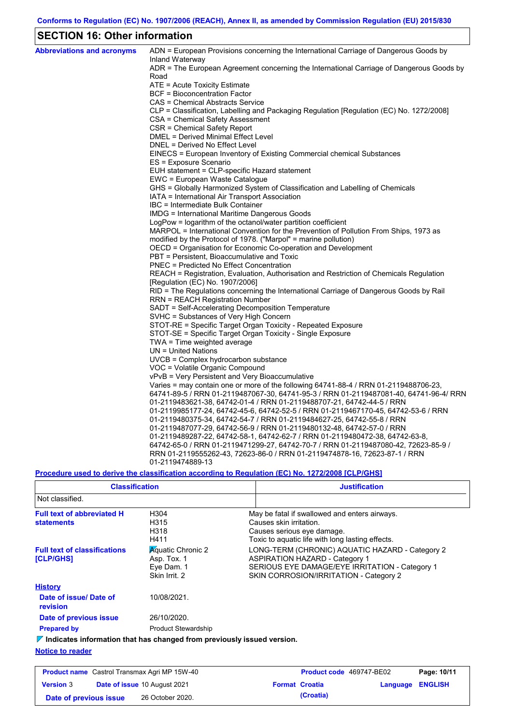# **SECTION 16: Other information**

| <b>Abbreviations and acronyms</b> | ADN = European Provisions concerning the International Carriage of Dangerous Goods by<br>Inland Waterway |
|-----------------------------------|----------------------------------------------------------------------------------------------------------|
|                                   | ADR = The European Agreement concerning the International Carriage of Dangerous Goods by                 |
|                                   | Road                                                                                                     |
|                                   | ATE = Acute Toxicity Estimate                                                                            |
|                                   | BCF = Bioconcentration Factor                                                                            |
|                                   | CAS = Chemical Abstracts Service                                                                         |
|                                   | CLP = Classification, Labelling and Packaging Regulation [Regulation (EC) No. 1272/2008]                 |
|                                   | CSA = Chemical Safety Assessment                                                                         |
|                                   | CSR = Chemical Safety Report                                                                             |
|                                   | DMEL = Derived Minimal Effect Level                                                                      |
|                                   | DNEL = Derived No Effect Level                                                                           |
|                                   | EINECS = European Inventory of Existing Commercial chemical Substances                                   |
|                                   | ES = Exposure Scenario                                                                                   |
|                                   | EUH statement = CLP-specific Hazard statement                                                            |
|                                   | EWC = European Waste Catalogue                                                                           |
|                                   | GHS = Globally Harmonized System of Classification and Labelling of Chemicals                            |
|                                   | IATA = International Air Transport Association                                                           |
|                                   | IBC = Intermediate Bulk Container<br>IMDG = International Maritime Dangerous Goods                       |
|                                   | LogPow = logarithm of the octanol/water partition coefficient                                            |
|                                   | MARPOL = International Convention for the Prevention of Pollution From Ships, 1973 as                    |
|                                   | modified by the Protocol of 1978. ("Marpol" = marine pollution)                                          |
|                                   | OECD = Organisation for Economic Co-operation and Development                                            |
|                                   | PBT = Persistent, Bioaccumulative and Toxic                                                              |
|                                   | PNEC = Predicted No Effect Concentration                                                                 |
|                                   | REACH = Registration, Evaluation, Authorisation and Restriction of Chemicals Regulation                  |
|                                   | [Regulation (EC) No. 1907/2006]                                                                          |
|                                   | RID = The Regulations concerning the International Carriage of Dangerous Goods by Rail                   |
|                                   | RRN = REACH Registration Number                                                                          |
|                                   | SADT = Self-Accelerating Decomposition Temperature                                                       |
|                                   | SVHC = Substances of Very High Concern                                                                   |
|                                   | STOT-RE = Specific Target Organ Toxicity - Repeated Exposure                                             |
|                                   | STOT-SE = Specific Target Organ Toxicity - Single Exposure                                               |
|                                   | TWA = Time weighted average                                                                              |
|                                   | $UN = United Nations$                                                                                    |
|                                   | UVCB = Complex hydrocarbon substance                                                                     |
|                                   | VOC = Volatile Organic Compound                                                                          |
|                                   | vPvB = Very Persistent and Very Bioaccumulative                                                          |
|                                   | Varies = may contain one or more of the following 64741-88-4 / RRN 01-2119488706-23,                     |
|                                   | 64741-89-5 / RRN 01-2119487067-30, 64741-95-3 / RRN 01-2119487081-40, 64741-96-4/ RRN                    |
|                                   | 01-2119483621-38, 64742-01-4 / RRN 01-2119488707-21, 64742-44-5 / RRN                                    |
|                                   | 01-2119985177-24, 64742-45-6, 64742-52-5 / RRN 01-2119467170-45, 64742-53-6 / RRN                        |
|                                   | 01-2119480375-34, 64742-54-7 / RRN 01-2119484627-25, 64742-55-8 / RRN                                    |
|                                   | 01-2119487077-29, 64742-56-9 / RRN 01-2119480132-48, 64742-57-0 / RRN                                    |
|                                   | 01-2119489287-22, 64742-58-1, 64742-62-7 / RRN 01-2119480472-38, 64742-63-8,                             |
|                                   | 64742-65-0 / RRN 01-2119471299-27, 64742-70-7 / RRN 01-2119487080-42, 72623-85-9 /                       |
|                                   | RRN 01-2119555262-43, 72623-86-0 / RRN 01-2119474878-16, 72623-87-1 / RRN                                |
|                                   | 01-2119474889-13                                                                                         |

## **Procedure used to derive the classification according to Regulation (EC) No. 1272/2008 [CLP/GHS]**

| <b>Classification</b>                                                                  |                                                                        | <b>Justification</b>                                                                                                                                                                 |
|----------------------------------------------------------------------------------------|------------------------------------------------------------------------|--------------------------------------------------------------------------------------------------------------------------------------------------------------------------------------|
| Not classified.                                                                        |                                                                        |                                                                                                                                                                                      |
| <b>Full text of abbreviated H</b><br><b>statements</b>                                 | H304<br>H315<br>H318<br>H411                                           | May be fatal if swallowed and enters airways.<br>Causes skin irritation.<br>Causes serious eye damage.<br>Toxic to aquatic life with long lasting effects.                           |
| <b>Full text of classifications</b><br><b>[CLP/GHS]</b>                                | <b>Aguatic Chronic 2</b><br>Asp. Tox. 1<br>Eye Dam. 1<br>Skin Irrit, 2 | LONG-TERM (CHRONIC) AQUATIC HAZARD - Category 2<br><b>ASPIRATION HAZARD - Category 1</b><br>SERIOUS EYE DAMAGE/EYE IRRITATION - Category 1<br>SKIN CORROSION/IRRITATION - Category 2 |
| <b>History</b>                                                                         |                                                                        |                                                                                                                                                                                      |
| Date of issue/Date of<br>revision                                                      | 10/08/2021.                                                            |                                                                                                                                                                                      |
| Date of previous issue                                                                 | 26/10/2020.                                                            |                                                                                                                                                                                      |
| <b>Prepared by</b>                                                                     | <b>Product Stewardship</b>                                             |                                                                                                                                                                                      |
| $\triangledown$ Indicates information that has changed from previously issued version. |                                                                        |                                                                                                                                                                                      |
| <b>Notice to reader</b>                                                                |                                                                        |                                                                                                                                                                                      |

| <b>Product name</b> Castrol Transmax Agri MP 15W-40 |  |                                     | <b>Product code</b> 469747-BE02 | Page: 10/11           |                         |  |
|-----------------------------------------------------|--|-------------------------------------|---------------------------------|-----------------------|-------------------------|--|
| <b>Version 3</b>                                    |  | <b>Date of issue 10 August 2021</b> |                                 | <b>Format Croatia</b> | <b>Language ENGLISH</b> |  |
| Date of previous issue                              |  | 26 October 2020.                    |                                 | (Croatia)             |                         |  |